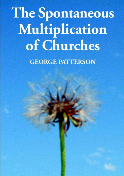## The Spontaneous Multiplication of Churches

**GEORGE PATTERSON**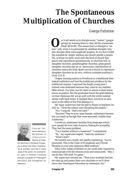### **The Spontaneous Multiplication of Churches**

#### *George Patterson*

**O**ur Lord sends us to disciple every "nation" (people group) by training them to obey all His commands (Matt 28:18-20). This means that we disciple a "nation" only when it is permeated by obedient disciples who group) by training them to obey all His commands (Matt 28:18-20). This means that we disciple a "naalso disciple other unevangelized peoples. So we don't fulfill the mandate by simply starting one church amidst a people. We, or those we send, must start the kind of church that grows and reproduces spontaneously as churches will, in daughter churches, granddaughter churches, great-granddaughter churches and so on. *Spontaneous* reproduction of churches means the Holy Spirit moves a church to reproduce daughter churches on its own, without outsiders pushing it (Acts 13:1-3).

I began training pastors in Honduras in a traditional theological institution and had the traditional problems for the traditional reasons. I assumed the bright young men I trained were dedicated because they came to our resident Bible school. Our plan was for them to return to their home towns as pastors. But the graduates found the gold lettering on their diplomas did not go well with the white-washed adobe walls back home. It enabled them, however, to earn more in the office of the Dole Banana Co.

My raspy supervisor had the gall to blame us teachers; he told us, "Close the school; start discipling the people."

"No," I argued, "that's too hard."

"Excuses! They're poor, semi-literate, subsistence farmers but you teach as though they were educated, middle class Americans."

I wrote my missionary buddies from language school, now spread all over Latin America, fishing for sympathy. They had the same problem!

"I'm a teacher without a classroom!" I complained.

"So," my supervisor rasped, "teach by extension." "What's that?"

He handed me a smelly old saddle, explaining, "You're promoted. This is the Chair of Evangelism and Church Planting in your new extension Bible institute."

After a few weeks of blisters on my south side I learned to communicate with the mission mule and announced, "Hey, I can do this TEE stuff. It's great."

My supervisor warned me, "Then your students had better raise up and pastor their own churches or we'll close down this Theological Education by Extension, too."



George Patterson teaches in the Division of Intercultural Studies at West-

ern Seminary in Portland, Oregon. He coaches and trains missionaries to multiply churches in many areas of the world. He worked for 21 years in northern Honduras through a program of Theological Education and Evangelism by Extension.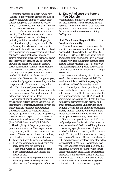I took the pastoral studies to family men (Biblical "elder" types) in the poverty-ridden villages, mountains and cities. Unlike their single young sons, they had crops, jobs or family responsibilities that kept them from going off to our resident Bible school. They also lacked the education to absorb its intensive teaching. But these older men, with roots in their villages and barrios, could begin pastoring with the respect of their people easier than the single young men could. By God's mercy I slowly learned to evangelize and disciple these *elders* in a way that enabled them to raise up and pastor their small village churches. As will be the case in many of today's remaining unreached fields, we began to see growth not through any one church growing big or fast, but through the slow, steady reproduction of many small churches.

I could have avoided years of struggle searching for principles of church reproduction had I looked first in the operator's manual. New Testament discipling principles, conscientiously applied, are enabling churches to reproduce in Honduras and many other fields. Field testing of programs based on these principles give consistently good results in Latin America and Asia, including hostile fields where evangelism is illegal.

We must distinguish between these general *principles* and culture-specific *applications*. Biblical principles themselves, if applied with culturally relevant methods, should enable churches to reproduce wherever there is plenty of "good soil." Theologically speaking, good soil for the gospel seed to take root in and multiply is *bad people*, and lots of them (Rom 5:20-21; Matt 13:18:23; Eph 2:1-10).

The simplicity of the principles disappoints some educators. They expect something more sophisticated, at least new or expensive. Missionary or not, one can multiply disciples doing these four simple things:

- 1. Know and love the people you disciple.
- 2. Mobilize your disciples to edify immediately those they are discipling.
- 3. Teach and practice obedience to Jesus' basic commands, in love, before and above all else.
- 4. Build loving, edifying accountability relationships between disciples and churches in order to reproduce churches.

#### **1. Know And Love the People You Disciple.**

We must know and love a people before we can disciple them. When Jesus told His disciples to "Look at the fields," they were finding it hard to love the Samaritans around them; they could not see them receiving God's grace.

#### *Limit Your Area of Responsibility to One People or Community.*

We must focus on one people group, the one God has given us. Paul knew his area of responsibility before God (2 Cor 10:12-16; Acts 16:6-10; Gal 2:8). He knew what kind of churches to plant and where. For a *movement of church reproduction* a church planting team needs a clear focus from God. My area was "the Spanish speaking people of the Aguan Valley and surrounding mountains." It helps to be exact.

At home or abroad every discipler needs to ask: "For whom am I responsible?" If a missionary fails to do this, the geographic and ethnic limits of his ministry remain blurred. He will jump from opportunity to opportunity. I asked one of these wandering gold prospectors in Central America what his area of responsibility was. "Oh," he said, "I am winning the country for Christ." He goes from city to city preaching in prisons and army camps; he bombs villages with tracts from his Cessna. It's fun and folks back home eagerly finance it. But he will never plant a reproductive church until he learns to hold the people of a community in his heart.

Choosing your people in a new field needs study and prayer. Confer with other missionaries, nationals and God Himself for guidance.

Knowing a people means touching the heart of individuals. Laughing with those who laugh. Weeping with those who weep. Playing marbles with 2-year old Chimbo and checkers with his grandpa (or whatever they play in the town square). It may help if you let him beat you. This applies to arguing religion, too. It's dangerous always to be "right" when you're the new kid on the block. Learn to appreciate the people and their ways, even the toothless old men. Listen and learn until you have discovered those things in their folk religion or culture that help communicate the gospel.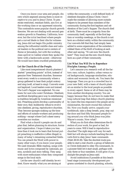Once you know your area and people, discern which segment among them is most receptive to you and to Jesus Christ. To penetrate restricted, resistant fields, aim *first* at the working class or an oppressed minority. This contradicts some popular church growth theories. We are not dealing with second generation growth in Pasadena, California, however, but the *initial beachhead* where people get a curved blade in their ribs for witnessing. Jesus did not begin His public ministry among the influential middle class and natural leaders in the political nerve centers of Rome or Jerusalem, but with the working class upriver in Galilee where they spoke Hebrew with a backwoods accent—otherwise He would have been crucified prematurely.

#### *Let the Church Be of the People.*

Like most inexperienced church planters I started "preaching points" at first, instead of genuine New Testament churches. Someone went every week to a community where a group gathered to hear their pulpit oratory and sing (well, at least to sing). Converts were not baptized. Local leaders were not trained. The Lord's Supper was neglected. No one knew for sure who were Christians. Obedient, sacrificial discipling gave way to entertaining (a tradition brought by American missionaries). Preaching points develop a personality of their own; they stubbornly refuse to evolve into obedient, giving, reproductive churches. They become sponges soaking up the time and efforts of outside workers and producing nothing—except where God's sheer mercy overrides our routine.

Find what a church's people can do and plan that, before planning its structure, forms and organization. I hope it takes you less time than it took me to learn that formal pulpit preaching is ineffective (often illegal) in many of today's remaining unreached fields. You can preach the Word with power in many other ways, if you know your people. We used dramatic Bible reading, songs with music and lyrics composed by nationals, poems, symbols and story telling. They sang with more enthusiasm when they composed songs in the local style.

Let the new church's self-identity be evident. Know exactly what you are aiming at

within the community: a well defined body of obedient disciples of Jesus Christ. Once I made the mistake of allowing more outside helpers to be present than members of the community during the first baptism and celebration of the Lord's Supper. The church died at birth. There must be a majority from the community itself, especially at the first baptism or worship meetings, or the church is not born as a distinct entity within the community. Our converts felt that they had simply been added to some organization of the outsiders. I robbed them of the thrill of looking at each other and saying, "*We* are now the church here!" They must see the new church being born as a part of their community.

#### *List What You Will Do to Reproduce Disciples Among a People.*

Let's assume you research well all the factors: race, culture, logistics, urban versus rural backgrounds, language similarities, education and economic levels, etc. You learn the language. Then you go in a crowded bus to your new field, with a team of church planters as similar to the local people as possible in every aspect. Some or all of them may be from another developing country. You are happy because they do not have to make that long cultural leap that delays church planting by years (the less responsive the people are to missionaries, the more crucial this cultural fit). Now you finally arrive, unpack your toothbrush, take a deep breath, pray, step out the door and find fifty thousand people living around you who think Jesus was John Wayne's cousin. Now what?

What you do first often determines the direction of your work, for good or bad, for years to come. Will it lead to reproductive churches? The right steps will vary for each field but will always include teaching the converts first to obey Jesus' basic commands (Matt 28:18-20). Take the shortest route possible to start a real church: a group of believers in Christ dedicated to obey His commands. In a pioneer field let it start small, perhaps with only three or four members. It will grow if you disciple the people as Jesus said.

Avoid institutions if possible at this beachhead stage (community development programs unrelated to church planting, schools,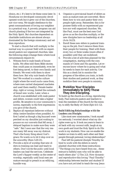clinics, etc.). It's best to let these come later. In Honduras we developed community development work but it grew out of the churches, not vice versa. We taught obedience to the great commandment of loving our neighbor in a practical way. A poverty program can aid church planting if the two are integrated by the Holy Spirit. But churches dependent on charitable institutions are almost always dominated by the foreign missionary and seldom reproduce.

To start a church that will multiply in the normal way in a *pioneer* field with no experienced pastors nor organized churches, take the following steps (change them where local circumstances require it):

- 1. Witness first to male heads of households. We often told them Bible stories they could pass on immediately, even before being saved, to their own family and friends. We went with them to show them how. But why *male* heads of families? We worked in a macho culture (right where the word *macho* came from, where men carried sharpened machetes and used them readily). Female leadership, right or wrong, limited the outreach of brand new works. Later, when a church was established with male pastor and elders, women could take a higher profile. Be sensitive to your community's norms, especially in the first impressions you give of the church.
- 2. Baptize all repentant believers without delay (entire families when possible). At first I acted as though a big buzzard were perched on my shoulder just waiting to pounce on our converts that fell away; I delayed baptism to make sure they were "safe." But I soon saw that the very reason many fell away was my distrust. That's the funny thing about God's grace; He wants us to let it slop over on the unworthy (Rom 5:20-21).
- 3. Provide a style of worship that new elders-in-training can lead and teach to others. Don't invite the *public* until local leaders can lead the services. Celebrate the Lord's Supper weekly as the center of worship, especially until local men are mature enough to preach in an edifying, humble way.
- 4. Organize a provisional board of elders as soon as mature men are converted. Show them how to win and pastor their own people right away. Remember, this is for pioneer fields with no experienced pastors nor well organized churches. We, like Paul, must use the best men God gives us as the churches multiply, or the new disciples have no leadership at all (Acts 14:23).
- 5. Enroll these new elders in pastoral training on the job. Don't remove them from their people for training. Meet with them every two or three weeks (more often if possible) until they are mobilized.
- 6. Provide a list of activities planned for the congregation, starting with the commands of Christ and His apostles. Let everyone know where he is going and what he needs to learn for each activity. Use this as a check list to monitor the progress of the elders you train, in both their studies and pastoral work, as they mobilize their own people in ministry.

#### **2. Mobilize Your Disciples Immediately to Edify Those They Are Discipling.**

To build up the church as a living, reproducing body, Paul instructs pastors and teachers to train the members of the church for the ministry, to edify the Body of Christ (Eph 4:11-12).

#### *Build Edifying Relationships with the Leaders you Disciple.*

Like most new missionaries, I took myself too seriously. I worried about what my disciples were up to. It took me years to learn to sit back with my coconut milk, laugh at my own goofs and trust the Holy Spirit to do His work in my students. How can we enable the leaders we train to edify each other and their people through personal, loving relationships?

Paul left his pastoral disciple Timothy behind to work with the elders in newly planted churches with these instructions: "The things you have heard from me…these entrust to faithful men who will be able to teach others also" (2 Tim 2:2). How dynamic and reproductive this loving "Paul-Timothy" relationship between teacher and student! If you have not yet tried to teach the way Jesus

€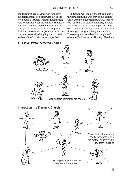and His apostles did, you are in for a blessing. If it frightens you, start with just one or two potential leaders. Train them on the job; take responsibility for their effective ministry. Personal discipling does not mean "one-onone" (Jesus taught twelve), nor is it just to deal with personal needs (Jesus spent most of His time personally discipling the top level leaders of the Church, the very apostles).

In Honduras I usually taught from one to three students, in a way they could imitate and pass on to others immediately. I helped each one have an effective ministry. I taught and modeled what he would pass on to his own people and his own pastoral trainees in the daughter or granddaughter churches. These taught other elders who taught still others as Paul instructed Timothy. The chain

# **A Passive, Pastor-centered Church** A weak pastor dominates his church.

#### **Interaction in a Dynamic Church**

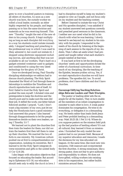grew to over a hundred pastors in training, all elders of churches. As soon as a new church was born, the outside worker enrolled a local leader, normally an elder highly respected by his people, and began passing on to him the same doctrine and materials as he was receiving himself. This new "Timothy" taught the rest of the new elders in his young church. It kept multiplying as long as each discipler did *everything* in a way his students could imitate immediately. I stopped teaching and preaching in the professional way in which I was used to (they admired it, but could not imitate it). I stopped using electronic equipment including movies, and anything else that was not available to all our workers. That's hard on a gadget-oriented westerner used to gadgets and conditioned to using the very latest technology for the glory of Christ.

Once we developed loving, Paul-Timothy discipling relationships we seldom had to discuss church planting. The Holy Spirit channeled the Word of God through these relationships to mobilize the Timothies and church reproduction took care of itself. At first I failed to trust the Holy Spirit and pushed the men myself. I dictated rules and prerequisites to keep the doctrine and the church pure and to make sure the men did their job. It stifled the work; one bitter failure followed another. I prayed, "Lord, I don't want a big ministry of my own; just let me help the Hondurans have a good ministry." God answered this prayer. I also learned through disappointments to let the people themselves decide on their own leaders, using 1 Timothy 3:1-7.

We learned not to plant the churches first then train the leaders for them; nor did we train the leaders first then tell them to raise up their churches. We married the two efforts in one ministry. My American culture pushed me at first to compartmentalize our organization, isolating its ministries. But I learned to let the Holy Spirit integrate diverse ministries and gifts in the united body (1 Cor 12:4-26).

I also began with education objectives that focused on educating the leader. But according to Ephesians 4:11-16, our education should seek only to edify the *church* in love. I

had to discipline myself to keep my student's people in view as I taught, and not focus only on my student and the teaching content.

Before I learned to imitate the way Christ and His apostles discipled, I was satisfied if my student answered test questions correctly and preached good sermons in the classroom. I neither saw nor cared what he did in his church with what he was learning. I slowly learned to see beyond my student to his ministry with his people. I responded to the needs of his church by listening at the beginning of each session to the reports of my students. Then I often set aside what I had prepared and taught rather what each student's people needed at that time.

It was hard at first to let the developing churches' needs and opportunities dictate the order of a functional curriculum. In time much of my discipling, like the teaching of the Epistles, became *problem solving*. Yes, if we start reproductive churches we will have problems. The apostles did, too. To avoid problems, don't have children and don't have churches.

#### *Encourage Edifying Teaching Relationships Between Leaders and Their Disciples.*

The pastor or leading elder sets the example for all the leaders. They in turn enable all the members of an infant congregation to minister to each other in love. A weak pastor dominates his congregation. He tries to do everything, or delegates it in a demanding way. He herds rather than leads (both Jesus and Peter prohibit herding in a demanding way: Matt 20:25-28; 1 Pet 5:1-4). Where do you suppose pastors on the mission field pick up the bad practice of herding others? It's not all cultural; they learned it from us missionaries. I furnished the only model the new pastors had in our pioneer field. Because of my superior education and resources, I made the decisions for my less educated colleagues. At the same time, like most new missionaries, I felt insecure and overprotected the first churches. A strong missionary, like a strong pastor, does not fear to give authority and responsibility to others. He does not force gifted, willing workers into existing slots in his organization, but rather builds ministries around them.

Э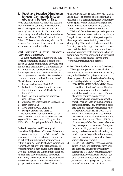#### **3. Teach and Practice Obedience to Jesus' Commands in Love, Above and Before All Else.**

Jesus, after affirming His deity and total authority on earth, commissioned His Church to make disciples who obey all His commands (Matt 28:18-20). So His commands take priority over all other institutional rules (even the hallowed *Church Constitution and Bylaws*). This obedience is always in love. If we obey God for any other reason, it becomes sheer legalism; God hates that.

#### *Start Right Out With Loving Obedience to Jesus' Basic Commands.*

To plant churches in a pioneer field, aim for each community to have a group of believers in Christ committed to obey His commands. This definition of a church might get a D minus where you studied theology; but *the more you add to it, the harder it will be for the churches you start to reproduce*. We asked our converts to memorize the following list of Christ's basic commands:

- 1. Repent and believe: Mark 1:15
- 2. Be baptized (and continue in the new life it initiates): Matt 28:18-20; Acts 2:38; Rom 6:1-11
- 3. Love God and neighbor in a practical way: Matt 22:37-40
- 4. Celebrate the Lord's Supper: Luke 22:17-20
- 5. Pray: Matt 6:5-15
- 6. Give: Matt 6:19-21; Luke 6:38
- 7. Disciple others: Matt 28:18-20

Memorize them; you can neither be nor make obedient disciples unless they are basic to your Christian experience. They are the ABCs of both discipling and church planting.

#### *Define Evangelism and Theological Education Objectives in Terms of Obedience.*

Do not simply preach for "decisions;" make obedient disciples. Only disciples produce a church that multiplies itself spontaneously within a culture. Consider the two commands: "Repent and believe" and "Be baptized." In Western culture a man stands alone before his God and "decides" for Christ. But in other cultures sincere conversion needs interaction with family and friends. Faith, repentance and immediate baptism of the entire family or group—no invitation to make a decision—is

the norm (Acts 2:36-41; 8:12; 10:44-48; 16:13-15, 29-34; 18:8). Repentance goes deeper than a decision; it is a permanent change wrought by God's Spirit. We are born all over again. Few purely intellectual decisions in any culture lead to permanent, obedient discipleship.

We found that when we baptized repentant believers reasonably soon, without requiring a long doctrinal course first, the great majority then responded to our training in obedient discipleship. The detailed doctrine came later. Teaching heavy theology *before* one learns loving, childlike obedience is dangerous. It leaves a person assuming that Christianity is having Scripturally correct doctrine and he leaves it at that. He becomes a passive learner of the Word rather than an active disciple.

#### *Orient Your Teaching to Loving Obedience.*

We taught our pastors to orient all church activity to New Testament commands. As they taught the Word of God, they accustomed their people to discern three levels of authority for all that they did as a body of disciples:

- 1. NEW TESTAMENT COMMANDS. These carry all the authority of heaven. They include the commands of Jesus which inspired the apostles in the Epistles. They apply only to baptized, more mature Christians who are already members of a church. We don't vote on them nor argue about doing them. They always take precedent over any human organization's rules.
- 2. APOSTOLIC PRACTICES (NOT COM-MANDED). We cannot enforce these as laws because Christ alone has authority to make laws for His own Church, His Body. Nor can we prohibit their practice because they have apostolic precedent. Examples include: holding possessions in common, laying hands on converts, celebrating the Lord's Supper frequently in homes using one cup, baptizing the same day of conversion, Sunday worship.
- 3. HUMAN CUSTOMS. Practices not mentioned in the New Testament have only the authority of a group's voluntary agreement. If it involves discipline, the agreement is recognized in heaven (but only for that congregation; we do not judge another congregation by the customs of our own: Matt 18:15-20).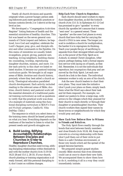Nearly all church divisions and quarrels originate when a power hungry person seeking followers puts mere apostolic practices or human customs (levels 2 or 3 above) at the top level as law.

We developed a "Congregation Activities Register" listing features of health and the essential ministries of healthy churches. This list was based on the seven general commands of Christ (repent and believe, be baptized, love God and neighbor, celebrate the Lord's Supper, pray, give, and disciple others) and other commands in the Epistles. On this menu of ministries we usually listed: evangelism, prayer, giving, pastoral care, teaching, loving neighbors, building character, counseling, worship, reproducing daughter churches, mission, and more. Under each activity in this chart we listed related studies. It became our pastoral training curriculum guide. We brought in all major areas of Bible, doctrine and church history, precisely where they best aided a church activity. Theological education paralleled church development. Each activity included reading in the relevant areas of Bible, doctrine, church history and pastoral work (all the essential elements of a traditional pastoral training curriculum) as well as questions to verify that the practical work was done. (An example of materials using this functional discipling curriculum is SEAN's *Train and Multiply* program, Casilla 61, Viña DelMar, Chile.)

The sequence in which you select items on the training menu should be based primarily on what you hear. Everything depends on the readiness of the teacher to listen to what the present needs and growth struggles are.

#### **4. Build Loving, Edifying Accountability Relationships Between Disciples and Churches in Order to Reproduce Churches.**

Healthy daughter churches need loving, edifying discipling relationships within themselves and with the mother church (Acts 11:19-30; 14:21-28 and 15:1-2, 28-31). If your church, church planting or training organization is already formed, add this personal discipling to it; don't insist on ruthless changes.

#### *Help Each New Church to Reproduce.*

Each church should send workers to reproduce daughter churches, as did the Antioch church (Acts 13:1-3). In Ephesians 4:1-12 God has promised to give "apostles" to every church (by apostles let's assume that it means "sent ones" in a general sense). These "apostles" are the ones God places in every church that have itchy feet for carrying the church's DNA to new areas. The longer you wait to mobilize a church for multiplication, the harder it is to reprogram its thinking. Teach your people the joy of sacrificing to separate from their strongest tithers and leaders, in the power of the Holy Spirit as in Antioch, to extend Christ's kingdom. After prayer, perhaps fasting, hold a formal separation service with laying on of hands, as they did. Remember, it is not the individuals that reproduce, but *congregations* that pray and are moved by the Holy Spirit. Let each new church be a link in the chain. The individual extension worker is only an arm of his church.

Ask the new church leaders to chart their own plans. They must take the initiative (don't push your plans on them; simply teach them what the Word says about their task and let them respond). For example, we asked our pastors to draw a large map, with arrows to the villages which they planned for their church to reach directly or through their daughter or granddaughter churches. Their church workers then signed their names by those towns or neighborhoods for which they would pray and plan.

#### *Show Each New Believer How to Witness to Friends and Relatives.*

The Holy Spirit flows readily through the bonds that exist between family members and close friends (Acts 10:24, 44). Keep new converts in a loving relationship with them (don't pull them out of their circle to put them in a safe Christian environment, or those very bonds which aid the spread of the gospel become barriers).

We prepared simple gospel studies (mostly Bible stories) that even illiterates could use at once to share their new faith. We accompanied them to show them how to do it, modeling it all in a way they could immediately imitate.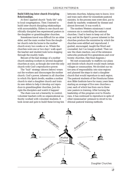#### *Build Edifying Inter-church Discipling Relationships.*

At first I applied church "body life" only to local congregations. Then I learned to build inter-church discipling relationships with accountability. Elders in one church sacrificially discipled less experienced pastors in the daughter or granddaughter churches.

Sometimes travel was difficult for an older elder, and the main worker from the daughter church rode his horse to the mother church every two weeks or so. Where the churches were one or two days' walk apart the teacher and student took turns slogging through the muddy trails.

Beware of the bad strategy of a mother church sending workers to several daughter churches at once, as though she were the only church with God's reproductive power.

The "hub" strategy (shown below) wears out the workers and discourages the mother church. God's power, inherent in all churches in which His Spirit dwells, enables a mother church to start a daughter church and train its new elders to help it develop *and* reproduce in granddaughter churches. Just disciple the disciplers and watch it happen!

The chain was not a hierarchy to control; volunteer teachers with no organizational authority worked with volunteer students. It took sweat and guts to build these loving ties

between churches, helping men to know, love and train each other for immediate pastoral ministry. In the process men were shot, put to death by machete, weakened by disease and almost drowned. It was worth it.

The modern Western missionary's most common sin is controlling the national churches. I had to learn to keep out of the way and let the Spirit's power inherent in the churches produce the ministries by which the churches were edified and reproduced. I guided, encouraged, taught the Word and counseled, but I no longer pushed. Then we saw the chain reaction; one of the extension networks produced five generations and over twenty churches. (See final diagram.)

We met occasionally to reaffirm our plans and decide which church would reach certain villages or communities. We divided our entire area of responsibility into nine regions and planned the steps to start a daughter church that would reproduce in each region. The pastoral students of the Honduras Extension Bible Institute have for many years been starting an average of five new churches a year, each of which has from one to three new pastors in training. After turning the leadership of this program over to Hondurans, it has continued to reproduce in spite of other missionaries' pressure to revert to traditional pastoral training methods.



3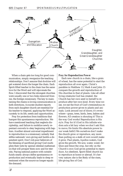

When a chain gets too long for good communication, simply reorganize the teaching relationships. Don't assume that doctrine will get watered down the longer the chain. Each Spirit-filled teacher in the chain has the same love for the Word and will rejuvenate the flow. I discovered that the strongest churches were usually one or two links removed from me, the foreign missionary. The key to maintaining the chains is loving communication in both directions. Accurate student reports from each daughter church are essential for his teacher to respond, applying the Word accurately to its life, needs and opportunities.

Pray for protection from traditions that hamper this spontaneous reproduction. We have mentioned teaching that neglects discipleship, and failure to mobilize newly repentant converts to obey beginning with baptism. Another almost universal impediment to reproduction is a missionary subsidy that stifles nationals' own giving and builds a dependent spirit. Don't rob poor believers of the blessing of sacrificial giving! God multiplies their mite by special celestial mathematics that will prosper them now and for eternity. Paying national pastors with outside funds nearly always stifles spontaneous reproduction and eventually leads to deep resentment when the source no longer equals the demand.

#### *Pray for Reproduction Power*

Each new church in a chain, like a grain of wheat, has the same potential to start the reproduction all over again. Christ's parables in Matthew 13, Mark 4 and John 15 compare the growth and reproduction of His churches to that of plants. Like all other living creatures God has created, the Church has her own seed in herself to reproduce after her own kind. Every time we eat, we eat the fruit of God's tremendous reproduction power given to plants and animals. Look around out of doors; it's everywhere—grass, trees, birds, bees, babies and flowers. All creation is shouting it! This is the way God works! Reproduction is His *style*. Pray for it! (God in His infinite wisdom acts a bit lazy when we don't ask Him to move; He limits His absolute power to our weak faith!) We ourselves don't make the church grow or reproduce, any more than pulling on a stalk of corn would make it grow. Paul plants, Apollos waters, God gives the growth. We sow, water, weed, fertilize and fence the crop, but rely on the Church's own God-given potential to reproduce. An obedient, Spirit-filled church *has* to reproduce at home or abroad. It's her very nature; she is the Body of the risen, life-giving Son of God.